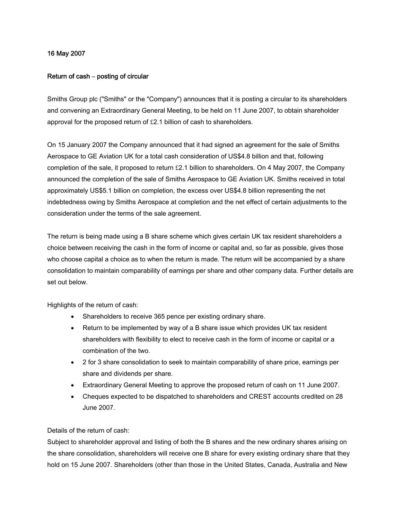## 16 May 2007

## Return of cash **–** posting of circular

Smiths Group plc ("Smiths" or the "Company") announces that it is posting a circular to its shareholders and convening an Extraordinary General Meeting, to be held on 11 June 2007, to obtain shareholder approval for the proposed return of £2.1 billion of cash to shareholders.

On 15 January 2007 the Company announced that it had signed an agreement for the sale of Smiths Aerospace to GE Aviation UK for a total cash consideration of US\$4.8 billion and that, following completion of the sale, it proposed to return £2.1 billion to shareholders. On 4 May 2007, the Company announced the completion of the sale of Smiths Aerospace to GE Aviation UK. Smiths received in total approximately US\$5.1 billion on completion, the excess over US\$4.8 billion representing the net indebtedness owing by Smiths Aerospace at completion and the net effect of certain adjustments to the consideration under the terms of the sale agreement.

The return is being made using a B share scheme which gives certain UK tax resident shareholders a choice between receiving the cash in the form of income or capital and, so far as possible, gives those who choose capital a choice as to when the return is made. The return will be accompanied by a share consolidation to maintain comparability of earnings per share and other company data. Further details are set out below.

Highlights of the return of cash:

- Shareholders to receive 365 pence per existing ordinary share.
- Return to be implemented by way of a B share issue which provides UK tax resident shareholders with flexibility to elect to receive cash in the form of income or capital or a combination of the two.
- 2 for 3 share consolidation to seek to maintain comparability of share price, earnings per share and dividends per share.
- Extraordinary General Meeting to approve the proposed return of cash on 11 June 2007.
- Cheques expected to be dispatched to shareholders and CREST accounts credited on 28 June 2007.

## Details of the return of cash:

Subject to shareholder approval and listing of both the B shares and the new ordinary shares arising on the share consolidation, shareholders will receive one B share for every existing ordinary share that they hold on 15 June 2007. Shareholders (other than those in the United States, Canada, Australia and New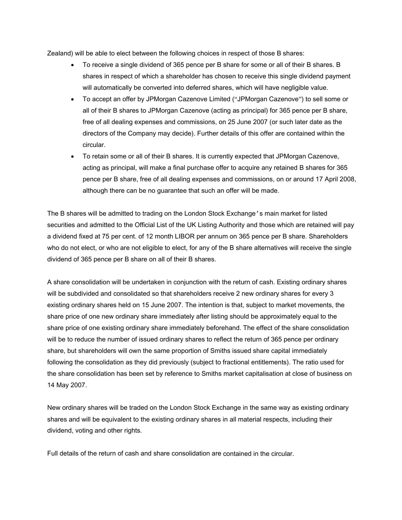Zealand) will be able to elect between the following choices in respect of those B shares:

- To receive a single dividend of 365 pence per B share for some or all of their B shares. B shares in respect of which a shareholder has chosen to receive this single dividend payment will automatically be converted into deferred shares, which will have negligible value.
- To accept an offer by JPMorgan Cazenove Limited ("JPMorgan Cazenove") to sell some or all of their B shares to JPMorgan Cazenove (acting as principal) for 365 pence per B share, free of all dealing expenses and commissions, on 25 June 2007 (or such later date as the directors of the Company may decide). Further details of this offer are contained within the circular.
- To retain some or all of their B shares. It is currently expected that JPMorgan Cazenove, acting as principal, will make a final purchase offer to acquire any retained B shares for 365 pence per B share, free of all dealing expenses and commissions, on or around 17 April 2008, although there can be no guarantee that such an offer will be made.

The B shares will be admitted to trading on the London Stock Exchange's main market for listed securities and admitted to the Official List of the UK Listing Authority and those which are retained will pay a dividend fixed at 75 per cent. of 12 month LIBOR per annum on 365 pence per B share. Shareholders who do not elect, or who are not eligible to elect, for any of the B share alternatives will receive the single dividend of 365 pence per B share on all of their B shares.

A share consolidation will be undertaken in conjunction with the return of cash. Existing ordinary shares will be subdivided and consolidated so that shareholders receive 2 new ordinary shares for every 3 existing ordinary shares held on 15 June 2007. The intention is that, subject to market movements, the share price of one new ordinary share immediately after listing should be approximately equal to the share price of one existing ordinary share immediately beforehand. The effect of the share consolidation will be to reduce the number of issued ordinary shares to reflect the return of 365 pence per ordinary share, but shareholders will own the same proportion of Smiths issued share capital immediately following the consolidation as they did previously (subject to fractional entitlements). The ratio used for the share consolidation has been set by reference to Smiths market capitalisation at close of business on 14 May 2007.

New ordinary shares will be traded on the London Stock Exchange in the same way as existing ordinary shares and will be equivalent to the existing ordinary shares in all material respects, including their dividend, voting and other rights.

Full details of the return of cash and share consolidation are contained in the circular.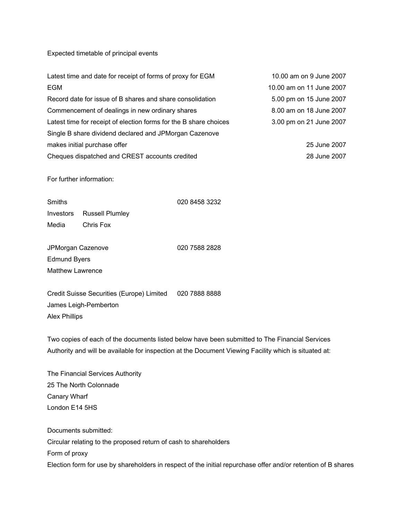Expected timetable of principal events

| Latest time and date for receipt of forms of proxy for EGM        | 10.00 am on 9 June 2007  |
|-------------------------------------------------------------------|--------------------------|
|                                                                   | 10.00 am on 11 June 2007 |
| Record date for issue of B shares and share consolidation         | 5.00 pm on 15 June 2007  |
| Commencement of dealings in new ordinary shares                   | 8.00 am on 18 June 2007  |
| Latest time for receipt of election forms for the B share choices | 3.00 pm on 21 June 2007  |
| Single B share dividend declared and JPMorgan Cazenove            |                          |
|                                                                   | 25 June 2007             |
| Cheques dispatched and CREST accounts credited                    | 28 June 2007             |
|                                                                   |                          |
| 020 8458 3232                                                     |                          |
|                                                                   |                          |
|                                                                   |                          |
|                                                                   |                          |

JPMorgan Cazenove 020 7588 2828 Edmund Byers Matthew Lawrence

Credit Suisse Securities (Europe) Limited 020 7888 8888 James Leigh-Pemberton Alex Phillips

Two copies of each of the documents listed below have been submitted to The Financial Services Authority and will be available for inspection at the Document Viewing Facility which is situated at:

The Financial Services Authority 25 The North Colonnade Canary Wharf London E14 5HS

Documents submitted: Circular relating to the proposed return of cash to shareholders Form of proxy Election form for use by shareholders in respect of the initial repurchase offer and/or retention of B shares